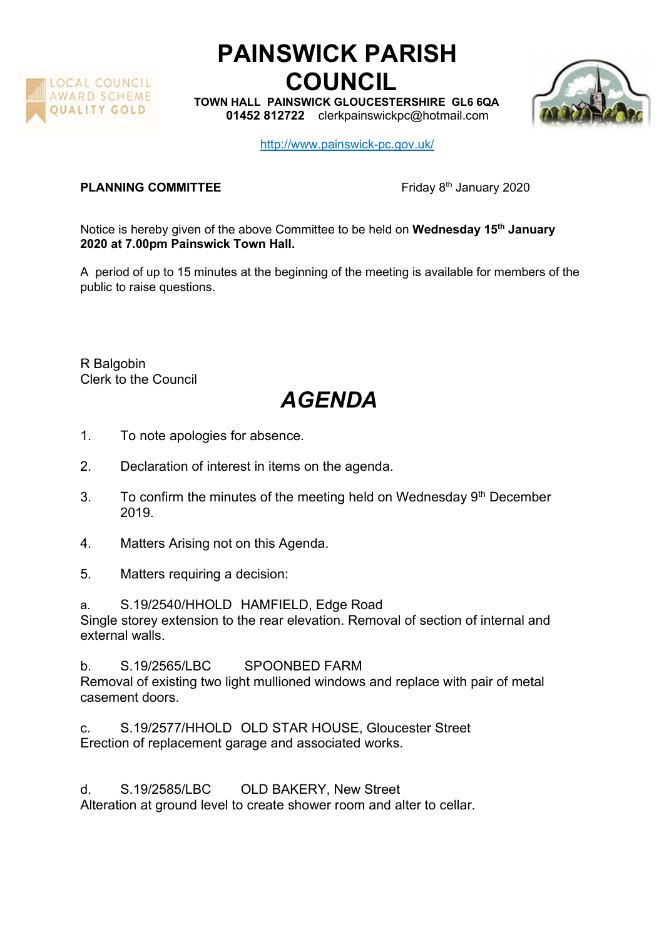

## PAINSWICK PARISH COUNCIL

TOWN HALL PAINSWICK GLOUCESTERSHIRE GL6 6QA 01452 812722 clerkpainswickpc@hotmail.com



http://www.painswick-pc.gov.uk/

## **PLANNING COMMITTEE** Friday 8<sup>th</sup> January 2020

Notice is hereby given of the above Committee to be held on Wednesday 15<sup>th</sup> January 2020 at 7.00pm Painswick Town Hall.

A period of up to 15 minutes at the beginning of the meeting is available for members of the public to raise questions.

R Balgobin Clerk to the Council

## AGENDA

- 1. To note apologies for absence.
- 2. Declaration of interest in items on the agenda.
- 3. To confirm the minutes of the meeting held on Wednesday  $9<sup>th</sup>$  December 2019.
- 4. Matters Arising not on this Agenda.
- 5. Matters requiring a decision:

a. S.19/2540/HHOLD HAMFIELD, Edge Road Single storey extension to the rear elevation. Removal of section of internal and external walls.

b. S.19/2565/LBC SPOONBED FARM Removal of existing two light mullioned windows and replace with pair of metal casement doors.

c. S.19/2577/HHOLD OLD STAR HOUSE, Gloucester Street Erection of replacement garage and associated works.

d. S.19/2585/LBC OLD BAKERY, New Street

Alteration at ground level to create shower room and alter to cellar.